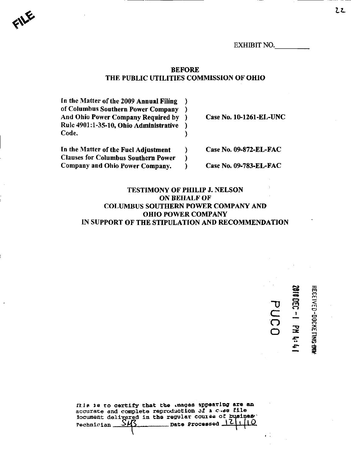EXHIBIT NO.

## BEFORE THE PUBLIC UTILITIES COMMISSION OF OHIO

In the Matter of the 2009 Annual Filing  $\mathcal{E}$ of Columbus Southern Power Company € Case No. 10-1261-EL-UNC And Ohio Power Company Required by € Rule 4901:1-35-10, Ohio Administrative ) Code. ℩ In the Matter of the Fuel Adjustment  $\lambda$ Case No. 09-872-EL-FAC Clauses for Columbus Southern Power  $\mathcal{E}$ Company and Ohio Power Company. Case No. 09-783-EL-FAC <sup>1</sup>

 $\blacklozenge$ 

## TESTIMONY OF PHILIP J. NELSON ON BEHALF OF COLUMBUS SOUTHERN POWER COMPANY AND OHIO POWER COMPANY IN SUPPORT OF THE STIPULATION AND RECOMMENDATION

 $\simeq$ g

o

o<br>A<br>A  $\bar{\mathbf{S}}$ 

 $\tilde{C}$  $\overline{\overline{O}}$ o

fhis is to certify that the lmages appearing are an accurate and complete reproduction of  $\mathbf a$  c.se file hocument delivered in the regular course of busines.<br>Pechnician SM3 \_\_\_\_\_\_\_ Date Processed 12 1 | 10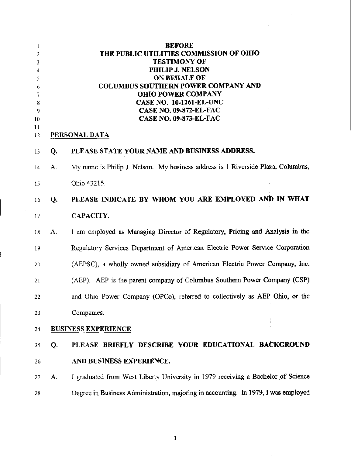| 1<br>2<br>3<br>4<br>5<br>6<br>7<br>8<br>9<br>10<br>11 |    | <b>BEFORE</b><br>THE PUBLIC UTILITIES COMMISSION OF OHIO<br><b>TESTIMONY OF</b><br><b>PHILIP J. NELSON</b><br><b>ON BEHALF OF</b><br><b>COLUMBUS SOUTHERN POWER COMPANY AND</b><br><b>OHIO POWER COMPANY</b><br><b>CASE NO. 10-1261-EL-UNC</b><br><b>CASE NO. 09-872-EL-FAC</b><br><b>CASE NO. 09-873-EL-FAC</b><br><b>PERSONAL DATA</b> |
|-------------------------------------------------------|----|------------------------------------------------------------------------------------------------------------------------------------------------------------------------------------------------------------------------------------------------------------------------------------------------------------------------------------------|
| 12<br>13                                              | Q. | PLEASE STATE YOUR NAME AND BUSINESS ADDRESS.                                                                                                                                                                                                                                                                                             |
|                                                       |    |                                                                                                                                                                                                                                                                                                                                          |
| 14                                                    | A. | My name is Philip J. Nelson. My business address is 1 Riverside Plaza, Columbus,                                                                                                                                                                                                                                                         |
| 15                                                    |    | Ohio 43215.                                                                                                                                                                                                                                                                                                                              |
| 16                                                    | Q. | PLEASE INDICATE BY WHOM YOU ARE EMPLOYED AND IN WHAT                                                                                                                                                                                                                                                                                     |
| 17                                                    |    | CAPACITY.                                                                                                                                                                                                                                                                                                                                |
| 18                                                    | A. | 1 am employed as Managing Director of Regulatory, Pricing and Analysis in the                                                                                                                                                                                                                                                            |
| 19                                                    |    | Regulatory Services Department of American Electric Power Service Corporation                                                                                                                                                                                                                                                            |
| 20                                                    |    | (AEPSC), a wholly owned subsidiary of American Electric Power Company, Inc.                                                                                                                                                                                                                                                              |
| 21                                                    |    | (AEP). AEP is the parent company of Columbus Southern Power Company (CSP)                                                                                                                                                                                                                                                                |
| 22                                                    |    | and Ohio Power Company (OPCo), referred to collectively as AEP Ohio, or the                                                                                                                                                                                                                                                              |
| 23                                                    |    | Companies.                                                                                                                                                                                                                                                                                                                               |
| 24                                                    |    | <b>BUSINESS EXPERIENCE</b>                                                                                                                                                                                                                                                                                                               |
| 25                                                    | Q. | PLEASE BRIEFLY DESCRIBE YOUR EDUCATIONAL BACKGROUND                                                                                                                                                                                                                                                                                      |
| 26                                                    |    | AND BUSINESS EXPERIENCE.                                                                                                                                                                                                                                                                                                                 |
| 27                                                    | A. | I graduated from West Liberty University in 1979 receiving a Bachelor of Science                                                                                                                                                                                                                                                         |
| 28                                                    |    | Degree in Business Administration, majoring in accounting. In 1979, I was employed                                                                                                                                                                                                                                                       |
|                                                       |    |                                                                                                                                                                                                                                                                                                                                          |

 $\mathbf{I}$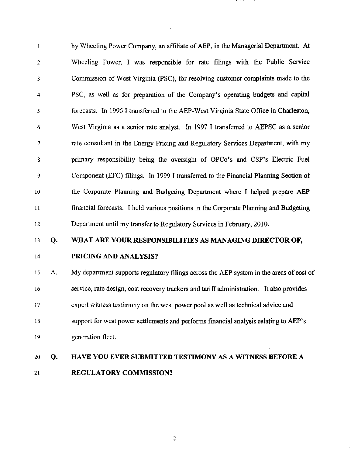1 by Wheeling Power Company, an affiliate of AEP, in the Managerial Department. At 2 Wheeling Power, I was responsible for rate filings with the Public Service 3 Commission of West Virginia (PSC), for resolving customer complaints made to the 4 PSC, as well as for preparation of the Company's operating budgets and capital 5 forecasts. In 1996 I transferred to the AEP-West Virginia State Office in Charleston, 6 West Virginia as a senior rate analyst. In 1997 I transferred to AEPSC as a senior 7 rate consultant in the Energy Pricing and Regulatory Services Department, with my 8 primary responsibility being the oversight of OPCo's and CSP's Electric Fuel 9 Component (EFC) filings. In 1999 I transferred to the Financial Planning Section of 10 the Corporate Planning and Budgeting Department where I helped prepare AEP 11 financial forecasts. I held various positions in the Corporate Planning and Budgeting 12 Department until my transfer to Regulatory Services in Febmary, 2010.

## 13 Q. WHAT ARE YOUR RESPONSIBILITIES AS MANAGING DIRECTOR OF,

## 14 PRICING AND ANALYSIS?

15 A. My department supports regulatory filings across the AEP system in the areas of cost of 16 service, rate design, cost recovery trackers and tariff administration. It also provides 17 expert witness testimony on the west power pool as well as technical advice and 18 support for west power settlements and performs financial analysis relating to AEP's 19 generation fleet.

## 20 Q. HAVE YOU EVER SUBMITTED TESTIMONY AS A WITNESS BEFORE A 21 REGULATORY COMMISSION?

 $\overline{2}$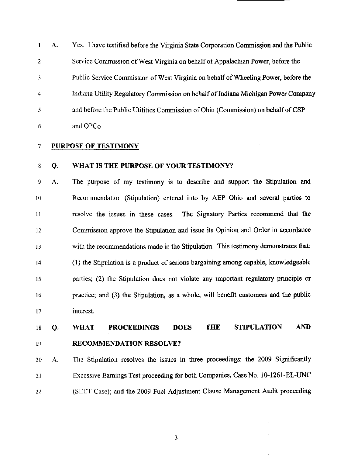1 A. Yes. I have testified before the Virginia State Corporation Commission and the Public 2 Service Commission of West Virginia on behalf of Appalachian Power, before the 3 Public Service Commission of West Virginia on behalf of Wheeling Power, before the 4 Indiana Utility Regulatory Commission on behalf of Indiana Michigan Power Company 5 and before the Public Utilities Commission of Ohio (Commission) on behalf of CSP 6 and OPCo

## 7 PURPOSE OF TESTIMONY

#### WHAT IS THE PURPOSE OF YOUR TESTIMONY? 8 Q.

The purpose of my testimony is to describe and support the Stipulation and Recommendation (Stipulation) entered into by AEP Ohio and several parties to resolve the issues in these cases. The Signatory Parties recommend that the Commission approve the Stipulation and issue its Opinion and Order in accordance with the recommendations made in the Stipulation. This testimony demonstrates that: (1) the Stipulation is a product of serious bargaining among capable, knowledgeable parties; (2) the Stipulation does not violate any important regulatory principle or practice; and (3) the Stipulation, as a whole, will benefit customers and the public interest. 9 10 11 12 13 14 15 16 17 A.

## 18 Q, WHAT PROCEEDINGS DOES THE STIPULATION AND 19 RECOMMENDATION RESOLVE?

20 A. The Stipulation resolves the issues in three proceedings: the 2009 Significantly 21 Excessive Eamings Test proceeding for both Companies, Case No. 10-1261-EL-UNC 22 (SEET Case); and the 2009 Fuel Adjustment Clause Management Audit proceeding

 $\overline{\mathbf{3}}$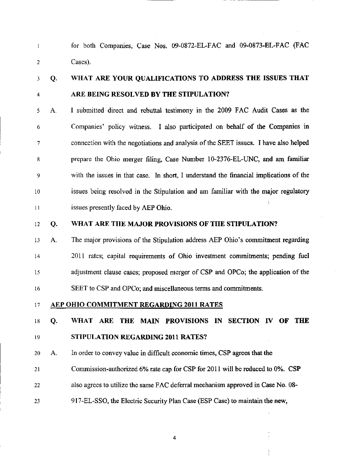1 for both Companies, Case Nos. 09-0872-EL-FAC and 09-0873-BL-FAC (FAC 2 Cases).

## 3 Q. WHAT ARE YOUR QUALIFICATIONS TO ADDRESS THE ISSUES THAT 4 ARE BEING RESOLVED BY THE STIPULATION?

5 A. I submitted direct and rebuttal testimony in the 2009 FAC Audit Cases as the 6 Companies' policy witness. I also participated on behalf of the Companies in 7 connection with the negotiations and analysis ofthe SEET issues. I have also helped 8 prepare the Ohio merger filing, Case Number 10-2376-EL-UNC, and am familiar 9 with the issues in that case. In short, I understand the financial imptications of the 10 issues being resolved in the Stipulation and am famitiar with the major regulatory 11 issues presently faced by AEP Ohio.

## 12 Q. WHAT ARE THE MAJOR PROVISIONS OF THE STIPULATION?

13 A. The major provisions of the Stipulation address AEP Ohio's commitment regarding 14 2011 rates; capital requirements of Ohio investment commitments; pending fuel 15 adjustment clause cases; proposed merger of CSP and OPCo; the application of the 16 SEET to CSP and OPCo; and miscellaneous terms and commitments.

## 17 AEP OHIO COMMITMENT REGARDING 2011 RATES

### 18 Q. WHAT ARE THE MAIN PROVISIONS IN SECTION IV OF THE

## 19 STIPULATION REGARDING 2011 RATES?

20 A. In order to convey value in difficult economic times, CSP agrees that the

- 21 Commission-authorized 6% rate cap for CSP for 2011 will be reduced to 0%. CSP
- 22 also agrees to utilize the same FAC deferral mechanism approved in Case No. 08-
- 23 917-EL-SSO, the Electric Security Plan Case (ESP Case) to maintain the new,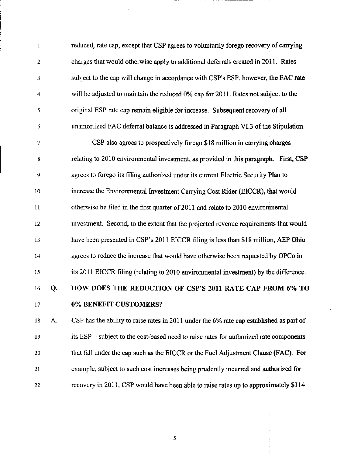1 reduced, rate cap, except that CSP agrees to volimtarily forego recovery of carrying 2 charges that would otherwise apply to additional deferrals created in 2011. Rates 3 subject to the cap will change in accordance with CSP's ESP, however, the FAC rate 4 will be adjusted to maintain the reduced 0% cap for 2011. Rates not subject to the 5 original ESP rate cap remain eligible for increase. Subsequent recovery of all 6 unamortized FAC deferral balance is addressed in Paragraph VL3 ofthe Stipulation. 7 CSP also agrees to prospectively forego \$18 million in carrying charges 8 relating to 2010 environmental investment, as provided in this paragraph. Fust, CSP 9 agrees to forego its filing authorized under its current Electric Security Plan to 10 increase the Environmental Investment Carrying Cost Rider (EICCR), that would 11 otherwise be filed in the first quarter of 2011 and relate to 2010 environmental 12 investment. Second, to the extent that the projected revenue requirements that would 13 have been presented in CSP's 2011 EICCR filing is less than \$18 million, AEP Ohio 14 agrees to reduce the increase that would have otherwise been requested by OPCo in 15 its 2011 EICCR filing (relating to 2010 envirorunental investment) by the difference. 16 Q. HOW DOES THE REDUCTION OF CSP'S 2011 RATE CAP FROM 6% TO 17 0% BENEFIT CUSTOMERS? 18 A. CSP has the ability to raise rates in 2011 under the 6% rate cap established as part of 19 its ESP - subject to the cost-based need to raise rates for authorized rate components

20 that fall under the cap such as the EICCR or the Fuel Adjustment Clause (FAC). For 21 example, subject to such cost increases being pmdently incurred and authorized for 22 recovery in 2011, CSP would have been able to raise rates up to approximately \$114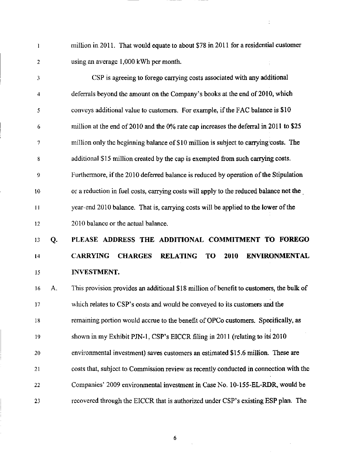1 million in 2011. That would equate to about \$78 in 2011 for a residential customer 2 using an average 1,000 kWh per month.

3 CSP is agreeing to forego carrying costs associated with any additional 4 deferrals beyond the amount on the Company's books at the end of 2010, which 5 conveys additional value to customers. For example, if the FAC balance is \$10 6 million at the end of 2010 and the 0% rate cap increases the deferral in 2011 to \$25 7 million only the beginning balance of \$10 million is subject to carrying costs. The 8 additional \$15 million created by the cap is exempted from such carrying costs. 9 Furthermore, if the 2010 deferred balance is reduced by operation ofthe Stipulation 10 or a reduction in fuel costs, carrying costs will apply to the reduced balance not the 11 year-end 2010 balance. That is, carrying costs will be applied to the lower ofthe 12 2010 balance or the actual balance.

# 13 Q. PLEASE ADDRESS THE ADDITIONAL COMMITMENT TO FOREGO 14 CARRYING CHARGES RELATING TO 2010 ENVIRONMENTAL 15 INVESTMENT,

16 A. This provision provides an additional \$18 million of benefit to customers, the bulk of 17 which relates to CSP's costs and would be conveyed to its customers and the 18 remaining portion would accrue to the benefit of OPCo customers. Specifically, as 19 shown in my Exhibit PJN-1, CSP's EICCR fihng in 2011 (relating to its 2010 20 environmental investment) saves customers an estimated \$15.6 million. These are 21 costs that, subject to Commission review as recently conducted in connection with the 22 Companies' 2009 envirorunental investment in Case No. 10-155-EL-RDR, would be 23 recovered through the EICCR that is authorized under CSP's existing ESP plan. The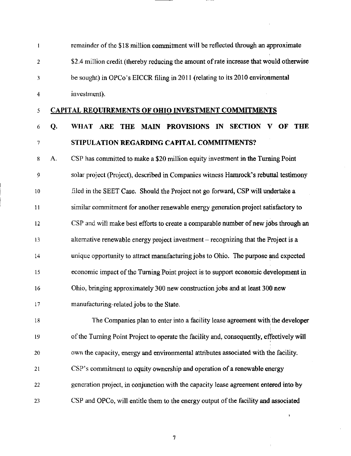| $\mathbf{1}$   |    | remainder of the \$18 million commitment will be reflected through an approximate        |  |  |  |
|----------------|----|------------------------------------------------------------------------------------------|--|--|--|
| $\overline{2}$ |    | \$2.4 million credit (thereby reducing the amount of rate increase that would otherwise  |  |  |  |
| 3              |    | be sought) in OPCo's EICCR filing in 2011 (relating to its 2010 environmental            |  |  |  |
| 4              |    | investment).                                                                             |  |  |  |
| 5              |    | <b>CAPITAL REQUIREMENTS OF OHIO INVESTMENT COMMITMENTS</b>                               |  |  |  |
| 6              | Q. | MAIN PROVISIONS IN SECTION<br>WHAT ARE THE<br><b>THE</b><br>V OF                         |  |  |  |
| 7              |    | STIPULATION REGARDING CAPITAL COMMITMENTS?                                               |  |  |  |
| 8              | А. | CSP has committed to make a \$20 million equity investment in the Turning Point          |  |  |  |
| 9              |    | solar project (Project), described in Companies witness Hamrock's rebuttal testimony     |  |  |  |
| 10             |    | filed in the SEET Case. Should the Project not go forward, CSP will undertake a          |  |  |  |
| 11             |    | similar commitment for another renewable energy generation project satisfactory to       |  |  |  |
| 12             |    | CSP and will make best efforts to create a comparable number of new jobs through an      |  |  |  |
| 13             |    | alternative renewable energy project investment - recognizing that the Project is a      |  |  |  |
| 14             |    | unique opportunity to attract manufacturing jobs to Ohio. The purpose and expected       |  |  |  |
| 15             |    | economic impact of the Turning Point project is to support economic development in       |  |  |  |
| 16             |    | Ohio, bringing approximately 300 new construction jobs and at least 300 new              |  |  |  |
| 17             |    | manufacturing-related jobs to the State.                                                 |  |  |  |
| 18             |    | The Companies plan to enter into a facility lease agreement with the developer           |  |  |  |
| 19             |    | of the Turning Point Project to operate the facility and, consequently, effectively will |  |  |  |
| 20             |    | own the capacity, energy and environmental attributes associated with the facility.      |  |  |  |
| 21             |    | CSP's commitment to equity ownership and operation of a renewable energy                 |  |  |  |
| 22             |    | generation project, in conjunction with the capacity lease agreement entered into by     |  |  |  |
| 23             |    | CSP and OPCo, will entitle them to the energy output of the facility and associated      |  |  |  |
|                |    | ł.                                                                                       |  |  |  |
|                |    | 7                                                                                        |  |  |  |
|                |    |                                                                                          |  |  |  |

 $\mathcal{L}_{\text{max}}$  , where  $\mathcal{L}_{\text{max}}$ 

 $\frac{1}{2} \sum_{i=1}^{n} \frac{1}{2} \sum_{j=1}^{n} \frac{1}{2} \sum_{j=1}^{n} \frac{1}{2} \sum_{j=1}^{n} \frac{1}{2} \sum_{j=1}^{n} \frac{1}{2} \sum_{j=1}^{n} \frac{1}{2} \sum_{j=1}^{n} \frac{1}{2} \sum_{j=1}^{n} \frac{1}{2} \sum_{j=1}^{n} \frac{1}{2} \sum_{j=1}^{n} \frac{1}{2} \sum_{j=1}^{n} \frac{1}{2} \sum_{j=1}^{n} \frac{1}{2} \sum_{j=1}^{n$ 

 $\sim 40$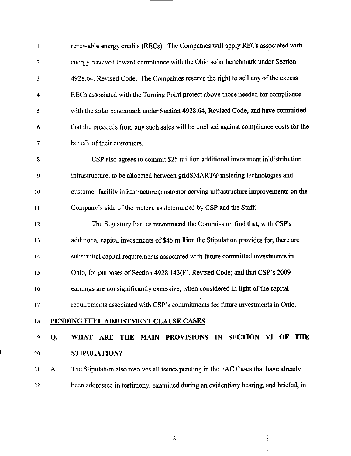| $\mathbf{1}$            |    | renewable energy credits (RECs). The Companies will apply RECs associated with          |  |  |
|-------------------------|----|-----------------------------------------------------------------------------------------|--|--|
| $\mathbf{2}$            |    | energy received toward compliance with the Ohio solar benchmark under Section           |  |  |
| 3                       |    | 4928.64, Revised Code. The Companies reserve the right to sell any of the excess        |  |  |
| $\overline{\mathbf{4}}$ |    | RECs associated with the Turning Point project above those needed for compliance        |  |  |
| 5                       |    | with the solar benchmark under Section 4928.64, Revised Code, and have committed        |  |  |
| 6                       |    | that the proceeds from any such sales will be credited against compliance costs for the |  |  |
| 7                       |    | benefit of their customers.                                                             |  |  |
| $\bf 8$                 |    | CSP also agrees to commit \$25 million additional investment in distribution            |  |  |
| 9                       |    | infrastructure, to be allocated between gridSMART® metering technologies and            |  |  |
| 10                      |    | customer facility infrastructure (customer-serving infrastructure improvements on the   |  |  |
| 11                      |    | Company's side of the meter), as determined by CSP and the Staff.                       |  |  |
| 12                      |    | The Signatory Parties recommend the Commission find that, with CSP's                    |  |  |
| 13                      |    | additional capital investments of \$45 million the Stipulation provides for, there are  |  |  |
| 14                      |    | substantial capital requirements associated with future committed investments in        |  |  |
| 15                      |    | Ohio, for purposes of Section 4928.143(F), Revised Code; and that CSP's 2009            |  |  |
| 16                      |    | earnings are not significantly excessive, when considered in light of the capital       |  |  |
| 17                      |    | requirements associated with CSP's commitments for future investments in Ohio.          |  |  |
| 18                      |    | PENDING FUEL ADJUSTMENT CLAUSE CASES                                                    |  |  |
| 19                      | Q. | WHAT ARE THE MAIN PROVISIONS IN SECTION<br>VI OF THE                                    |  |  |
| 20                      |    | STIPULATION?                                                                            |  |  |
| 21                      | A. | The Stipulation also resolves all issues pending in the FAC Cases that have already     |  |  |
| 22                      |    | been addressed in testimony, examined during an evidentiary hearing, and briefed, in    |  |  |
|                         |    |                                                                                         |  |  |

 $\hat{\boldsymbol{\beta}}$ 

 $\overline{\mathbf{8}}$ 

 $\hat{\mathcal{A}}$ 

 $\ddot{\phantom{a}}$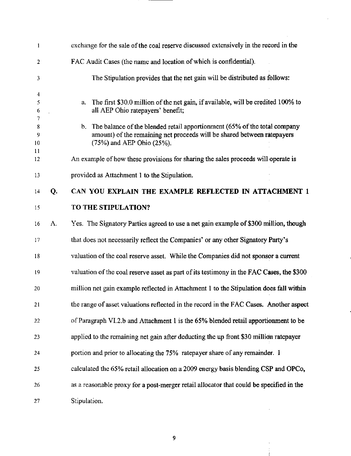| 1                |                                                                            | exchange for the sale of the coal reserve discussed extensively in the record in the                                                                                                      |  |  |
|------------------|----------------------------------------------------------------------------|-------------------------------------------------------------------------------------------------------------------------------------------------------------------------------------------|--|--|
| 2                |                                                                            | FAC Audit Cases (the name and location of which is confidential).                                                                                                                         |  |  |
| 3                | The Stipulation provides that the net gain will be distributed as follows: |                                                                                                                                                                                           |  |  |
| 4<br>5<br>6<br>7 |                                                                            | a. The first \$30.0 million of the net gain, if available, will be credited 100% to<br>all AEP Ohio ratepayers' benefit;                                                                  |  |  |
| 8<br>9<br>10     |                                                                            | b. The balance of the blended retail apportionment (65% of the total company<br>amount) of the remaining net proceeds will be shared between ratepayers<br>$(75%)$ and AEP Ohio $(25%)$ . |  |  |
| 11<br>12         |                                                                            | An example of how these provisions for sharing the sales proceeds will operate is                                                                                                         |  |  |
| 13               |                                                                            | provided as Attachment 1 to the Stipulation.                                                                                                                                              |  |  |
| 14               | Q.                                                                         | CAN YOU EXPLAIN THE EXAMPLE REFLECTED IN ATTACHMENT 1                                                                                                                                     |  |  |
| 15               |                                                                            | TO THE STIPULATION?                                                                                                                                                                       |  |  |
| 16               | A.                                                                         | Yes. The Signatory Parties agreed to use a net gain example of \$300 million, though                                                                                                      |  |  |
| 17               |                                                                            | that does not necessarily reflect the Companies' or any other Signatory Party's                                                                                                           |  |  |
| 18               |                                                                            | valuation of the coal reserve asset. While the Companies did not sponsor a current                                                                                                        |  |  |
| 19               |                                                                            | valuation of the coal reserve asset as part of its testimony in the FAC Cases, the \$300                                                                                                  |  |  |
| 20               |                                                                            | million net gain example reflected in Attachment 1 to the Stipulation does fall within                                                                                                    |  |  |
| 21               |                                                                            | the range of asset valuations reflected in the record in the FAC Cases. Another aspect                                                                                                    |  |  |
| 22               |                                                                            | of Paragraph VI.2.b and Attachment 1 is the 65% blended retail apportionment to be                                                                                                        |  |  |
| 23               |                                                                            | applied to the remaining net gain after deducting the up front \$30 million ratepayer                                                                                                     |  |  |
| 24               |                                                                            | portion and prior to allocating the 75% ratepayer share of any remainder. I                                                                                                               |  |  |
| 25               |                                                                            | calculated the 65% retail allocation on a 2009 energy basis blending CSP and OPCo,                                                                                                        |  |  |
| 26               |                                                                            | as a reasonable proxy for a post-merger retail allocator that could be specified in the                                                                                                   |  |  |
| 27               |                                                                            | Stipulation.                                                                                                                                                                              |  |  |

 $\overline{9}$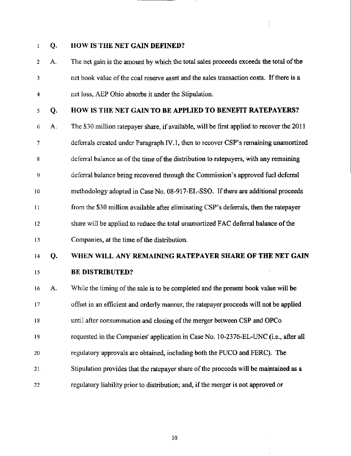## 1 Q. HOW IS THE NET GAIN DEFINED?

2 A. The net gain is the amount by which the total sales proceeds exceeds the total of the 3 net book value ofthe coal reserve asset and the sales transaction costs. If there is a 4 net loss, AEP Ohio absorbs it under the Stipulation.

 $\frac{1}{2}$ 

- 5 Q. HOW IS THE NET GAIN TO BE APPLIED TO BENEFIT RATEPAYERS?
- 6 A. The \$30 million ratepayer share, if available, will be first applied to recover the  $2011$ 7 deferrals created under Paragraph TV. 1, then to recover CSP's remaining unamortized 8 deferral balance as of the time of the distribution to ratepayers, with any remaining 9 deferral balance being recovered through the Commission's approved fuel deferral 10 methodology adopted in Case No. 08-917-EL-SSO. If there are additional proceeds 11 from the \$30 million available after eliminating CSP's deferrals, then the ratepayer 12 share will be applied to reduce the total unamortized FAC deferral balance of the 13 Companies, at the time of the distribution.

## 14 Q. WHEN WILL ANY REMAINING RATEPAYER SHARE OF THE NET GAIN 15 **BE DISTRIBUTED?**

16 A. While the timing of the sale is to be completed and the present book value will be 17 offset in an efficient and orderly manner, the ratepayer proceeds will not be applied 18 until after consummation and closing ofthe merger between CSP and OPCo 19 requested in the Companies' apptication in Case No. 10-2376-EL-UNC (i.e., after all 20 regulatory approvals are obtained, including both the PUCO and FERC). The 21 Stipulation provides that the ratepayer share of the proceeds will be maintained as a 22 regulatory Hability prior to distribution; and, if the merger is not approved or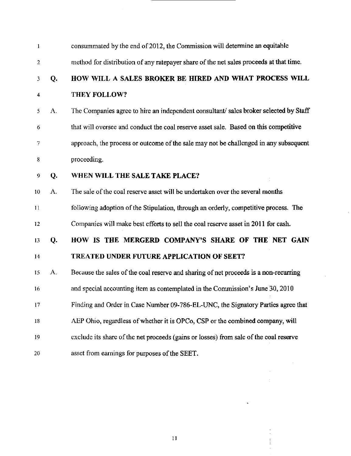| 1              |    | consummated by the end of 2012, the Commission will determine an equitable             |  |  |
|----------------|----|----------------------------------------------------------------------------------------|--|--|
| $\overline{2}$ |    | method for distribution of any ratepayer share of the net sales proceeds at that time. |  |  |
| 3              | Q. | HOW WILL A SALES BROKER BE HIRED AND WHAT PROCESS WILL                                 |  |  |
| 4              |    | THEY FOLLOW?                                                                           |  |  |
| 5              | A. | The Companies agree to hire an independent consultant/ sales broker selected by Staff  |  |  |
| 6              |    | that will oversee and conduct the coal reserve asset sale. Based on this competitive   |  |  |
| 7              |    | approach, the process or outcome of the sale may not be challenged in any subsequent   |  |  |
| 8              |    | proceeding.                                                                            |  |  |
| 9              | Q. | WHEN WILL THE SALE TAKE PLACE?                                                         |  |  |
| 10             | A. | The sale of the coal reserve asset will be undertaken over the several months          |  |  |
| 11             |    | following adoption of the Stipulation, through an orderly, competitive process. The    |  |  |
| 12             |    | Companies will make best efforts to sell the coal reserve asset in 2011 for cash.      |  |  |
| 13             | Q. | HOW IS THE MERGERD COMPANY'S SHARE OF THE NET GAIN                                     |  |  |
| 14             |    | <b>TREATED UNDER FUTURE APPLICATION OF SEET?</b>                                       |  |  |
| 15             | А. | Because the sales of the coal reserve and sharing of net proceeds is a non-recurring   |  |  |
| 16             |    | and special accounting item as contemplated in the Commission's June 30, 2010          |  |  |
| 17             |    | Finding and Order in Case Number 09-786-EL-UNC, the Signatory Parties agree that       |  |  |
| 18             |    | AEP Ohio, regardless of whether it is OPCo, CSP or the combined company, will          |  |  |
| 19             |    | exclude its share of the net proceeds (gains or losses) from sale of the coal reserve  |  |  |
| 20             |    | asset from earnings for purposes of the SEET.                                          |  |  |
|                |    |                                                                                        |  |  |

J,

 $\hat{\mathcal{A}}$ 

11

ł,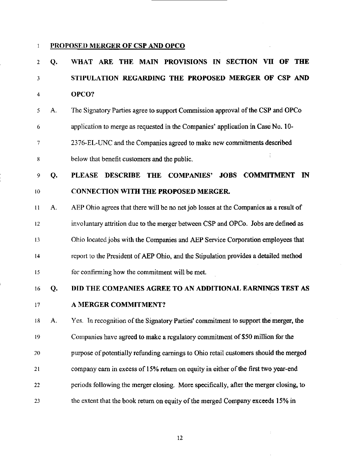### 1 PROPOSED MERGER OF CSP AND OPCO

# 2 Q. WHAT ARE THE MAIN PROVISIONS IN SECTION VII OF THE 3 STIPULATION REGARDING THE PROPOSED MERGER OF CSP AND 4 OPCO?

5 A. The Signatory Parties agree to support Commission approval ofthe CSP and OPCo 6 application to merge as requested in the Companies' application in Case No. 10- 7 2376-EL-UNC and the Companies agreed to make new commitments described 8 below that benefit customers and the public.

#### PLEASE DESCRIBE THE COMPANIES' JOBS COMMITMENT IN CONNECTION WITH THE PROPOSED MERGER. 9 10 Q

AEP Ohio agrees that there will be no net job losses at the Companies as a result of involuntary attrition due to the merger between CSP and OPCo. Jobs are defined as Ohio located jobs with the Companies and AEP Service Corporation employees that report to the President of AEP Ohio, and the Stipulation provides a detailed method for confirming how the commitment will be met. 11 12 13 14 15 A.

#### DID THE COMPANIES AGREE TO AN ADDITIONAL EARNINGS TEST AS A MERGER COMMITMENT? 16 17 Q.

Yes. In recognition of the Signatory Parties' commitment to support the merger, the Companies have agreed to make a regulatory commitment of \$50 million for the purpose of potentially refunding eamings to Ohio retail customers should the merged company earn in excess of 15% return on equity in either of the first two year-end periods following the merger closing. More specifically, after the merger closing, to the extent that the book return on equity of the merged Company exceeds 15% in 18 19 20 21  $22$ 23 A.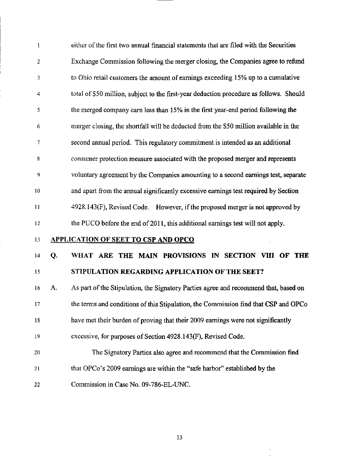1 either of the first two annual financial statements that are filed with the Securities 2 Exchange Commission following the merger closing, the Companies agree to refund 3 to Ohio retail customers the amount of eamings exceeding 15% up to a cumulative 4 total of \$50 million, subject to the first-year deduction procedure as follows. Should 5 the merged company earn less than 15% in the first year-end period following the 6 merger closing, the shortfall will be deducted from the \$50 million available in the 7 second annual period. This regulatory commitment is intended as an additional 8 consumer protection measure associated with the proposed merger and represents 9 voluntary agreement by the Companies amounting to a second eamings test, separate 10 and apart from the annual significantly excessive eamings test required by Section 11 4928.143(F), Revised Code. However, if the proposed merger is not approved by 12 the PUCO before the end of 2011, this additional eamings test will not apply.

13 APPLICATION OF SEET TO CSP AND OPCO

14 Q. WHAT ARE THE MAIN PROVISIONS IN SECTION VIII OF THE

## 15 STIPULATION REGARDING APPLICATION OF THE SEET?

16 A. As part of the Stipulation, the Signatory Parties agree and recommend that, based on 17 the terms and conditions of this Stipulation, the Commission find that CSP and OPCo 18 have met their burden of proving that their 2009 eamings were not significantiy 19 excessive, for purposes of Section 4928.143(F), Revised Code.

- 20 The Signatory Parties also agree and recommend that the Commission find
- 21 that OPCo's 2009 eamings are within the "safe harbor" established by the

22 Commission in Case No. 09-786-EL-UNC.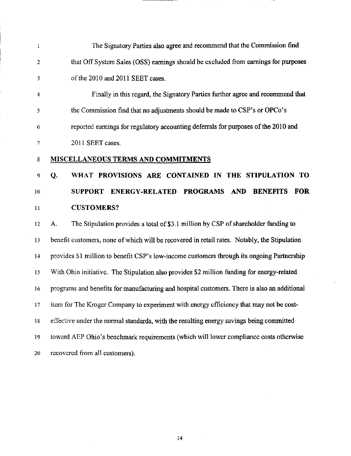| $\mathbf{1}$   |                                                                                              |
|----------------|----------------------------------------------------------------------------------------------|
|                | The Signatory Parties also agree and recommend that the Commission find                      |
| $\overline{c}$ | that Off System Sales (OSS) earnings should be excluded from earnings for purposes           |
| 3              | of the 2010 and 2011 SEET cases.                                                             |
| 4              | Finally in this regard, the Signatory Parties further agree and recommend that               |
| 5              | the Commission find that no adjustments should be made to CSP's or OPCo's                    |
| 6              | reported earnings for regulatory accounting deferrals for purposes of the 2010 and           |
| 7              | 2011 SEET cases.                                                                             |
| 8              | <b>MISCELLANEOUS TERMS AND COMMITMENTS</b>                                                   |
| 9              | WHAT PROVISIONS ARE CONTAINED IN THE STIPULATION TO<br>Q.                                    |
| 10             | SUPPORT ENERGY-RELATED PROGRAMS AND BENEFITS<br><b>FOR</b>                                   |
| 11             | <b>CUSTOMERS?</b>                                                                            |
|                |                                                                                              |
| 12             | The Stipulation provides a total of \$3.1 million by CSP of shareholder funding to<br>A.     |
| 13             | benefit customers, none of which will be recovered in retail rates. Notably, the Stipulation |
| 14             | provides \$1 million to benefit CSP's low-income customers through its ongoing Partnership   |
| 15             | With Ohio initiative. The Stipulation also provides \$2 million funding for energy-related   |
| 16             | programs and benefits for manufacturing and hospital customers. There is also an additional  |
| 17             | item for The Kroger Company to experiment with energy efficiency that may not be cost-       |
| 18             | effective under the normal standards, with the resulting energy savings being committed      |
| 19             | toward AEP Ohio's benchmark requirements (which will lower compliance costs otherwise        |

 $\label{eq:2.1} \frac{1}{2} \sum_{i=1}^n \frac{1}{2} \sum_{j=1}^n \frac{1}{2} \sum_{j=1}^n \frac{1}{2} \sum_{j=1}^n \frac{1}{2} \sum_{j=1}^n \frac{1}{2} \sum_{j=1}^n \frac{1}{2} \sum_{j=1}^n \frac{1}{2} \sum_{j=1}^n \frac{1}{2} \sum_{j=1}^n \frac{1}{2} \sum_{j=1}^n \frac{1}{2} \sum_{j=1}^n \frac{1}{2} \sum_{j=1}^n \frac{1}{2} \sum_{j=1}^n \frac{$ 

 $\hat{\boldsymbol{\beta}}$ 

 $\bar{z}$ 

\_\_\_\_\_\_

14

 $\hat{\mathcal{A}}$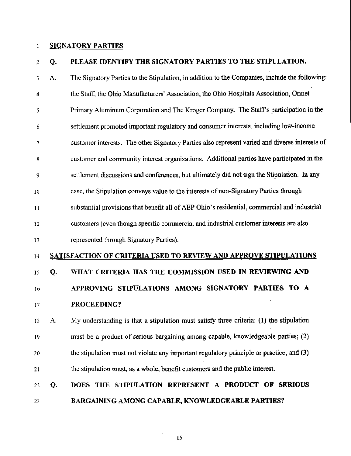### 1 SIGNATORY PARTIES

## 2 Q. PLEASE IDENTIFY THE SIGNATORY PARTIES TO THE STIPULATION.

3 A. The Signatory Parties to the Stipulation, in addition to the Companies, include the following: 4 the Staff, the Ohio Manufacturers' Association, the Ohio Hospitals Association, Ormet 5 Primary Aluminum Corporation and The Kroger Company. The Staffs participation in the 6 settlement promoted important regulatory and consumer interests, including low-income 7 customer interests. The other Signatory Parties also represent varied and diverse interests of 8 customer and community interest organizations. Additional parties have participated in the 9 settlement discussions and conferences, but ultimately did not sign the Stipulation. In any 10 case, the Stipulation conveys value to the interests of non-Signatory Parties through 11 substantial provisions that benefit all of AEP Ohio's residential, commercial and industrial 12 customers (even though specific commercial and industrial customer interests are also 13 represented through Signatory Parties). 14 SATISFACTION OF CRITERIA USED TO REVIEW AND APPROVE STIPULATIONS 15 Q. WHAT CRITERIA HAS THE COMMISSION USED IN REVIEWING AND 16 APPROVING STIPULATIONS AMONG SIGNATORY PARTIES TO A 17 PROCEEDING? 18 A. My understanding is that a stipulation must satisfy three criteria: (1) the stipulation 19 must be a product of serious bargaining among capable, knowledgeable parties; (2) 20 the stipulation must not violate any important regulatory principle or practice; and (3) 21 the stipulation must, as a whole, benefit customers and the public interest. 22 Q. DOES THE STIPULATION REPRESENT A PRODUCT OF SERIOUS

23 BARGAINING AMONG CAPABLE, KNOWLEDGEABLE PARTIES?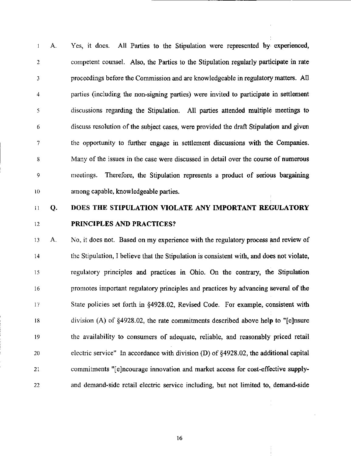1 A. Yes, it does. All Parties to the Stipulation were represented by experienced, 2 competent counsel. Also, the Parties to the Stipulation regularly participate in rate 3 proceedings before the Commission and are knowledgeable in regulatory matters. AH 4 parties (including the non-signing parties) were invited to participate in settlement 5 discussions regarding the Stipulation. All parties attended multiple meetings to 6 discuss resolution ofthe subject cases, were provided the draft Stipulation and given 7 the opportunity to further engage in settlement discussions with the Companies. 8 Many of the issues in the case were discussed in detail over the course of numerous 9 meetings. Therefore, the Stipulation represents a product of serious bargaining 10 among capable, knowledgeable parties.

## 11 Q. DOES THE STIPULATION VIOLATE ANY IMPORTANT REGULATORY 12 PRINCIPLES AND PRACTICES?

13 A. No, it does not. Based on my experience with the regulatory process and review of 14 the Stipulation, I believe that the Stipulation is consistent with, and does not violate, 15 regulatory principles and practices in Ohio. On the contrary, the Stipulation 16 promotes important regulatory principles and practices by advancing several of the 17 State policies set forth in §4928.02, Revised Code. For example, consistent with 18 division (A) of §4928.02, the rate commitments described above help to "[ejnsure 19 the availability to consumers of adequate, reliable, and reasonably priced retail 20 electric service" In accordance with division (D) of §4928.02, the additional capital 21 commitments "[e]ncourage irmovation and market access for cost-effective supply-22 and demand-side retail electric service including, but not limited to, demand-side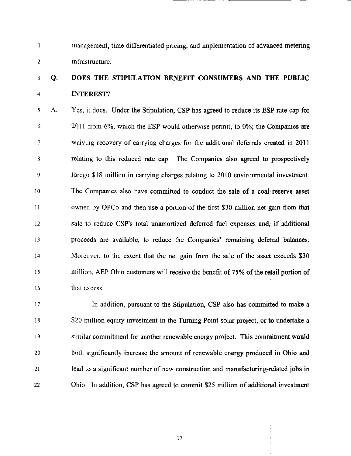1 management, time differentiated pricing, and implementation of advanced metering 2 infrastructure.

## 3 Q. DOES THE STIPULATION BENEFIT CONSUMERS AND THE PUBLIC 4 INTEREST?

5 A. Yes, it does. Under the Stipulation, CSP has agreed to reduce its ESP rate cap for  $6 \sim 2011$  from 6%, which the ESP would otherwise permit, to 0%; the Companies are 7 waiving recovery of carrying charges for the additional deferrals created in 2011 8 relating to this reduced rate cap. The Companies also agreed to prospectively 9 forego \$18 million in carrying charges relating to 2010 environmental investment. 10 The Companies also have committed to conduct the sale of a coal reserve asset 11 owned by OPCo and then use a portion of the first \$30 million net gain from that 12 sale to reduce CSP's total unamortized deferred fuel expenses and, if additional 13 proceeds are available, to reduce the Companies' remaining deferral balances. 14 Moreover, to the extent that the net gain from the sale of the asset exceeds \$30 15 million, AEP Ohio customers will receive the benefit of 75% of the retail portion of 16 that excess.

17 In addition, pursuant to the Stipulation, CSP also has committed to make a 18 \$20 million equity investment in the Turning Point solar project, or to undertake a 19 similar commitment for another renewable energy project. This commitment would 20 both significantly increase the amount of renewable energy produced in Ohio and 21 lead to a significant number of new constmction and manufacturing-related jobs in 22 Ohio. In addition, CSP has agreed to commit \$25 million of additional investment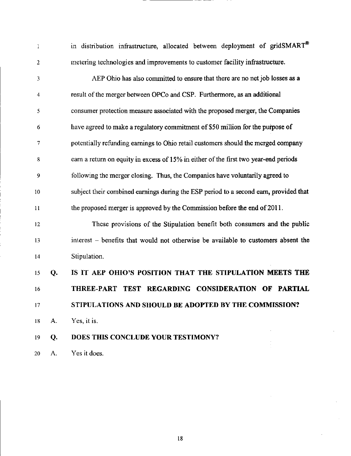1 in distribution infrastructure, allocated between deployment of gridSMART<sup>®</sup> 2 metering technologies and improvements to customer facility infrastmcture. 3 AEP Ohio has also committed to ensure that there are no net job losses as a 4 result of the merger between OPCo and CSP. Furthermore, as an additional 5 consumer protection measure associated with the proposed merger, the Companies 6 have agreed to make a regulatory commitment of \$50 million for the purpose of 7 potentially refunding eamings to Ohio retail customers should the merged company 8 earn a return on equity in excess of 15% in either of the first two year-end periods 9 following the merger closing. Thus, the Companies have voluntarily agreed to 10 subject their combined eamings during the ESP period to a second earn, provided that 11 the proposed merger is approved by the Commission before the end of 2011. 12 These provisions of the Stipulation benefit both consumers and the public 13 interest - benefits that would not otherwise be available to customers absent the 14 Stipulation. 15 Q. IS IT AEP OHIO'S POSITION THAT THE STIPULATION MEETS THE 16 THREE-PART TEST REGARDING CONSIDERATION OF PARTIAL 17 STIPULATIONS AND SHOULD BE ADOPTED BY THE COMMISSION? 18 A. Yes, it is.

## 19 Q. DOES THIS CONCLUDE YOUR TESTIMONY?

20 A. Yes it does.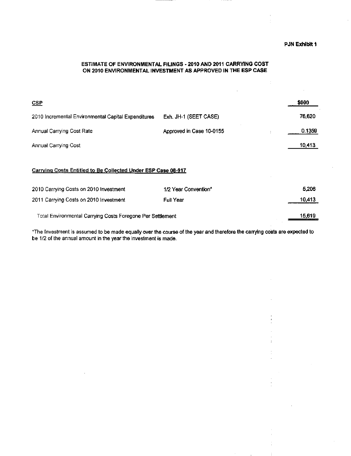### ESTIMATE OF ENVIRONMENTAL FILINGS - 2010 AND 2011 CARRYING COST ON 2010 ENVIRONMENTAL INVESTMENT AS APPROVED IN THE ESP CASE

 $\bar{z}$ 

| CSP                                                 |                          | \$000  |
|-----------------------------------------------------|--------------------------|--------|
| 2010 Incremental Environmental Capital Expenditures | Exh. JH-1 (SEET CASE)    | 76,620 |
| Annual Carrying Cost Rate                           | Approved in Case 10-0155 | 0.1359 |
| Annual Carrying Cost                                |                          | 10,413 |
|                                                     |                          |        |

#### Carrying Costs Entitled to Be Collected Under ESP Case 08-917

| 2010 Carrying Costs on 2010 Investment                     | 1/2 Year Convention* | 5.206         |
|------------------------------------------------------------|----------------------|---------------|
| 2011 Carrying Costs on 2010 Investment                     | <b>Full Year</b>     | 10,413        |
| Total Environmental Carrying Costs Foregone Per Settlement |                      | <u>15,619</u> |

"The Investment is assumed lo be made equally over the course of the year and therefore the carrying costs are expected to be 1/2 of the annual amount in the year the investment is made.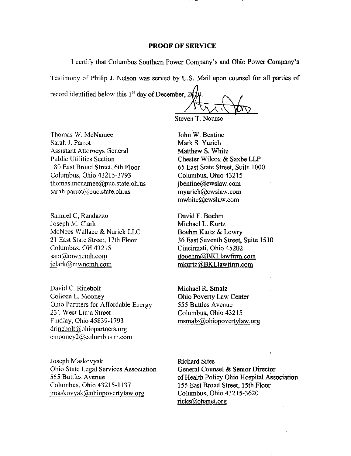#### PROOF OF SERVICE

I certify that Columbus Southem Power Company's and Ohio Power Company's

Testimony of Philip J. Nelson was served by U.S. Mail upon counsel for all parties of

record identified below this 1<sup>st</sup> day of December, 201

Steven T. Nourse

Thomas W. McNamee Sarah J. Parrot Assistant Attorneys General Public Utilities Section 180 East Broad Street, 6th Floor Columbus, Ohio 43215-3793 [thomas.mcnamee@puc.state.oh.us](mailto:thomas.mcnamee@puc.state.oh.us)  [sarah.parrot@puc.state.oh.us](mailto:sarah.parrot@puc.state.oh.us) 

Samuel C, Randazzo Joseph M. Clark McNees Wallace & Nurick LLC 21 East State Street, 17th Floor Columbus, OH 43215 sam@mwncmh.com [iclark@mwncmh.com](mailto:iclark@mwncmh.com) 

David C. Rinebolt Colleen L. Mooney Ohio Partners for Affordable Energy 231 West Lima Street Findlay, Ohio 45839-1793 drinebolt@ohiopartners.org cmooney2@columbus.rr.com

Joseph Maskovyak Ohio State Legal Services Association 555 Butties Avenue Columbus, Ohio 43215-1137 [jmaskovyak@ohiopovertvlaw.org](mailto:jmaskovyak@ohiopovertvlaw.org) 

John W. Bentine Mark S. Yurich Matthew S. White Chester Wilcox & Saxbe LLP 65 East State Street, Suite 1000 Columbus, Ohio 43215 [jbentine@cwslaw.com](mailto:jbentine@cwslaw.com)  [myurich@cwslaw.com](mailto:myurich@cwslaw.com)  [mwhite@cwslaw.com](mailto:mwhite@cwslaw.com) 

David F. Boehm Michael L. Kurtz Boehm Kurtz & Lowry 36 East Seventh Street, Suite 1510 Cincinnati, Ohio 45202 [dboehm@BKLlawfirm.com](mailto:dboehm@BKLlawfirm.com)  [mkurtz@BKLlawfirm.com](mailto:mkurtz@BKLlawfirm.com) 

Michael R. Smalz Ohio Poverty Law Center 555 Buttles Avenue Columbus, Ohio 43215 [msmalz@ohiopovertylaw.org](mailto:msmalz@ohiopovertylaw.org) 

Richard Sites General Counsel & Senior Director of Health Policy Ohio Hospital Association 155 East Broad Street, 15th Floor Columbus, Ohio 43215-3620 ricks@ohanet. org